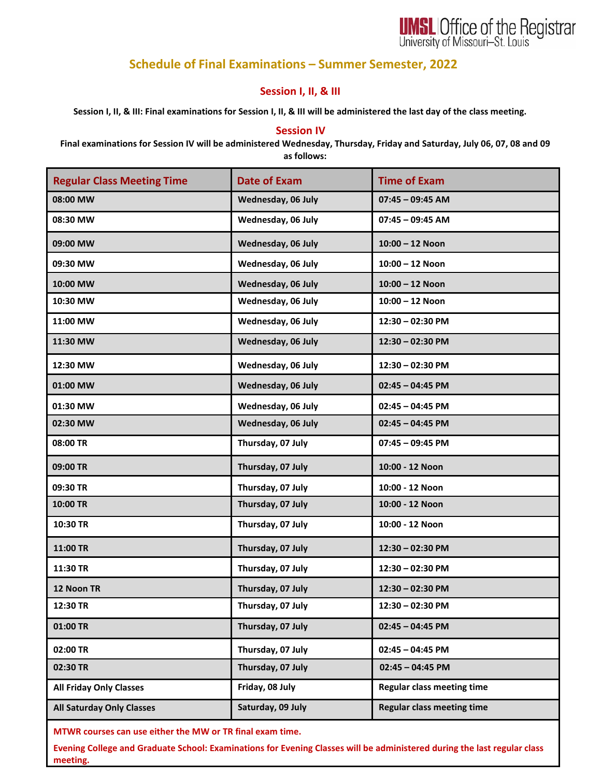

## **Schedule of Final Examinations – Summer Semester, 2022**

## **Session I, II, & III**

**Session I, II, & III: Final examinations for Session I, II, & III will be administered the last day of the class meeting.**

## **Session IV**

**Final examinations for Session IV will be administered Wednesday, Thursday, Friday and Saturday, July 06, 07, 08 and 09 as follows:**

| <b>Regular Class Meeting Time</b> | <b>Date of Exam</b> | <b>Time of Exam</b>               |
|-----------------------------------|---------------------|-----------------------------------|
| 08:00 MW                          | Wednesday, 06 July  | $07:45 - 09:45$ AM                |
| 08:30 MW                          | Wednesday, 06 July  | $07:45 - 09:45$ AM                |
| 09:00 MW                          | Wednesday, 06 July  | $10:00 - 12$ Noon                 |
| 09:30 MW                          | Wednesday, 06 July  | $10:00 - 12$ Noon                 |
| 10:00 MW                          | Wednesday, 06 July  | $10:00 - 12$ Noon                 |
| 10:30 MW                          | Wednesday, 06 July  | $10:00 - 12$ Noon                 |
| 11:00 MW                          | Wednesday, 06 July  | $12:30 - 02:30$ PM                |
| 11:30 MW                          | Wednesday, 06 July  | 12:30 - 02:30 PM                  |
| 12:30 MW                          | Wednesday, 06 July  | 12:30 - 02:30 PM                  |
| 01:00 MW                          | Wednesday, 06 July  | $02:45 - 04:45$ PM                |
| 01:30 MW                          | Wednesday, 06 July  | $02:45 - 04:45$ PM                |
| 02:30 MW                          | Wednesday, 06 July  | $02:45 - 04:45$ PM                |
| 08:00 TR                          | Thursday, 07 July   | $07:45 - 09:45$ PM                |
| 09:00 TR                          | Thursday, 07 July   | 10:00 - 12 Noon                   |
| 09:30 TR                          | Thursday, 07 July   | 10:00 - 12 Noon                   |
| 10:00 TR                          | Thursday, 07 July   | 10:00 - 12 Noon                   |
| 10:30 TR                          | Thursday, 07 July   | 10:00 - 12 Noon                   |
| 11:00 TR                          | Thursday, 07 July   | 12:30 - 02:30 PM                  |
| 11:30 TR                          | Thursday, 07 July   | 12:30 - 02:30 PM                  |
| 12 Noon TR                        | Thursday, 07 July   | 12:30 - 02:30 PM                  |
| 12:30 TR                          | Thursday, 07 July   | 12:30 - 02:30 PM                  |
| 01:00 TR                          | Thursday, 07 July   | $02:45 - 04:45$ PM                |
| 02:00 TR                          | Thursday, 07 July   | $02:45 - 04:45$ PM                |
| 02:30 TR                          | Thursday, 07 July   | $02:45 - 04:45$ PM                |
| <b>All Friday Only Classes</b>    | Friday, 08 July     | <b>Regular class meeting time</b> |
| <b>All Saturday Only Classes</b>  | Saturday, 09 July   | <b>Regular class meeting time</b> |

**MTWR courses can use either the MW or TR final exam time.**

**Evening College and Graduate School: Examinations for Evening Classes will be administered during the last regular class meeting.**